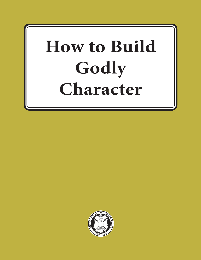# **How to Build Godly Character**

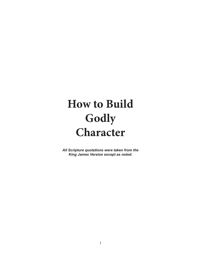# **How to Build Godly Character**

*All Scripture quotations were taken from the King James Version except as noted.*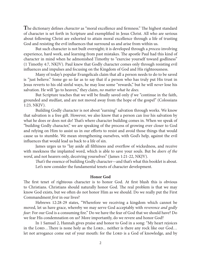**T**he dictionary defines *character* as "moral excellence and firmness." The highest standard of character is set forth in Scripture and exemplified in Jesus Christ. All who are serious about following Christ are exhorted to attain moral excellence through a life of trusting God and resisting the evil influences that surround us and arise from within us.

But such character is not built overnight; it is developed through a *process* involving experience, hard work, and learning from past mistakes. The apostle Paul had this kind of character in mind when he admonished Timothy to "exercise yourself toward godliness" (1 Timothy 4:7, NKJV). Paul knew that Godly character comes only through resisting evil influences and impulses and focusing on the Kingdom of God and His righteousness.

Many of today's popular Evangelicals claim that all a person needs to do to be saved is "just believe." Some go so far as to say that if a person who has truly put His trust in Jesus reverts to his old sinful ways, he may lose some "rewards," but he will *never* lose his salvation. He will "go to heaven," they claim, *no matter what he does.*

But Scripture teaches that we will be finally saved only *if* we "continue in the faith, grounded and stedfast, and are not moved away from the hope of the gospel" (Colossians 1:23*,* NKJV).

Building Godly character is not about "earning" salvation through works. We know that salvation is a free gift. However, we also know that a person can *lose* his salvation by what he does or does not do! That's where character building comes in. When we speak of "building Godly character," we are speaking of the process of growing ever closer to God and relying on Him to assist us in our efforts to resist and avoid those things that would cause us to stumble. We mean strengthening ourselves, with God's help, against the evil influences that would lead us back to a life of sin.

James urges us to "lay aside all filthiness and overflow of wickedness, and receive with meekness the implanted word, which is able to save your souls. But be *doers of the word*, and not hearers only, deceiving yourselves" (James 1:21-22, NKJV).

*That's* the essence of building Godly character—and that's what this booklet is about. Let's now consider the fundamental tenets of character development.

#### **Honor God**

The first tenet of righteous character is to honor God. At first blush this is obvious to Christians. Christians should naturally honor God. The real problem is that we may know God exists, but we often do not honor Him as we should. Do we really put the First Commandment *first* in our lives?

Hebrews 12:28-29 states, "Wherefore we receiving a kingdom which cannot be moved, let us have grace, whereby we may serve God acceptably with *reverence and godly fear:* For our God is a consuming fire." Do we have the fear of God that we should have? Do we fear His condemnation on us? More importantly, do we revere and honor God?

In 1 Samuel 2, Hannah gives praise and honor to God in a song: "My heart rejoices in the LORD...There is none holy as the LORD... neither is there any rock like our God... let not arrogance come out of your mouth: for the LORD is a God of knowledge, and by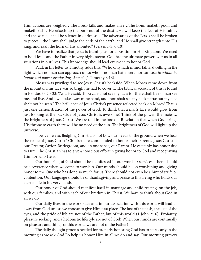Him actions are weighed...The Lorp kills and makes alive...The Lorp maketh poor, and maketh rich…He raiseth up the poor out of the dust…He will keep the feet of His saints, and the wicked shall be silence in darkness...The adversaries of the LORD shall be broken to pieces...the LORD shall judge the ends of the earth; and He shall give strength unto His king, and exalt the horn of His anointed" (verses 1-3, 6-10),

We have to realize that Jesus is training us for a position in His Kingdom. We need to hold Jesus and the Father in very high esteem. God has the ultimate power over us in all situations in our lives. This knowledge should lead everyone to honor God.

Paul, in his letter to Timothy, adds this: "Who only hath immortality, dwelling in the light which no man can approach unto; whom no man hath seen, nor can sea: *to whom be honor and power everlasting. Amen*" (1 Timothy 6:16).

Moses was privileged to see Jesus Christ's backside. When Moses came down from the mountain, his face was so bright he had to cover it. The biblical account of this is found in Exodus 33:20-23: "And He said, Thou canst not see my face: for there shall be no man see me, and live. And I will take away mine hand, and thou shalt see my back parts: but my face shalt not be seen." The brilliance of Jesus Christ's presence reflected back on Moses! That is just one demonstration of the power of God. To think that a man's face would glow from just looking at the backside of Jesus Christ is awesome! Think of the power, the majesty, the brightness of Jesus Christ. We are told in the book of Revelation that when God brings His throne to earth there will be no need of the sun. The brightness of God will light up the universe.

How can we as fledgling Christians not bow our heads to the ground when we hear the name of Jesus Christ? Children are commanded to honor their parents. Jesus Christ is our Creator, Savior, Bridegroom, and, in one sense, our Parent. He certainly has honor due to Him. The Christian has to give a conscious effort in giving honor to God and recognizing Him for who He is.

Our honoring of God should be manifested in our worship services. There should be a reverence when we come to worship. Our minds should be on worshiping and giving honor to the One who has done so much for us. There should not even be a hint of strife or contention. Our language should be of thanksgiving and praise to this Being who holds our eternal life in his very hands.

Our honor of God should manifest itself in marriage and child rearing, on the job, with our families, and with each of our brethren in Christ. We have to think about God in all we do.

Our daily lives in the workplace and in our association with this world will lead us away from God unless we choose to give Him first place. The lust of the flesh, the lust of the eyes, and the pride of life are not of the Father, but of this world (1 John 2:16). Profanity, pleasure seeking, and a hedonistic lifestyle are not of God! When our minds are continually on pleasure and things of this world, we are not of the Father!

The daily thought process needed for properly honoring God has to start early in the morning as we ask God Lo help us honor Him in all we do and say. Our morning prayers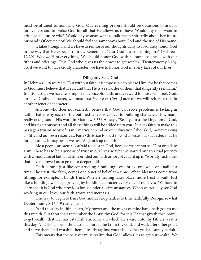must be attuned to honoring God. Our evening prayers should be occasions to ask for forgiveness and to praise God for all that He allows us to have. Would any man want to criticize his future wife? Would any woman want to talk mean spiritedly about her future husband? Of course not! We should feel the same way about God and the use of His name.

It takes thought, and we have to reinforce our thoughts daily to absolutely honor God in the way that He expects from us. Remember, "Our God is a consuming fire" (Hebrews 12:29)! We owe Him everything! We should honor God with all our substance—with our tithes and offerings. "It is God who gives us the power to get wealth" (Deuteronomy 8:18). So, if we want to have Godly character, we have to honor God in every facet of our lives.

#### **Diligently Seek God**

In Hebrews 11:6 we read, "But without faith it is impossible to please Him: for he that comes to God must believe that He is, and that He is a rewarder of them that diligently seek Him." In this passage we have two important concepts: faith, and a reward to those who seek God. To have Godly character, we must first *believe in God.* (Later on we will reiterate this in another tenet of character.)

Anyone who does not earnestly believe that God can solve problems is lacking in faith. That is why each of the outlined tenets is critical to building character. How many really take Jesus at His word in Matthew 6:33? He says, "Seek ye first the kingdom of God, and his righteousness and all these things will be added unto you." It takes faith to make this passage a truism. Most of us in America depend on our education, labor skill, moneymaking ability, and our own resources. For a Christian to trust in God as Jesus has suggested may be foreign to us. It may be, as we say, "A giant leap of faith!"

Most people are actually afraid to trust in God, because we cannot see Him or talk to Him. There has to be a genesis of trust in our lives. Maybe we started our spiritual journey with a modicum of faith, but time eroded our faith or we got caught up in "worldly" activities that never allowed us to go on to deeper faith.

Faith is built just like constructing a building—one brick, one wall, one nail at a time. The trust, the faith, comes one tenet of belief at a time. When blessings come from tithing, for example, it builds trust. When a healing takes place, more trust is built. Just like a building, we keep growing by building character every day of our lives. We have to learn that it is God who provides for us under all circumstances. When we actually see God working in our lives, our faith grows and increases.

One way to begin to trust God and develop faith is to tithe faithfully. Recognize what Deuteronomy 8:17-1 9 really means.

"And thou say in thine heart, My power and the might of mine hand hath gotten me this wealth. But thou shalt remember the LORD thy God: for it is He that giveth thee power to get wealth, that He may establish His covenant which He sware unto thy fathers, as it is this day. And it shall be, if thou do at all forget the Lorp thy God, and walk after other gods, and serve them, and worship them, I testify against you this day that ye shall surely perish."

This means that the believer must realize that God "allows" us to get our wealth. We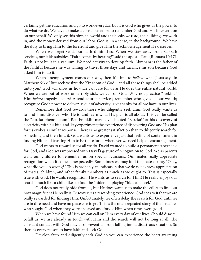certainly get the education and go to work everyday, but it is God who gives us the power to do what we do. We have to make a conscious effort to remember God and His intervention on our behalf. We only see this physical world and the books we read, the buildings we work in, and the money derived from our labor. God is, in a sense, in the background. We have the duty to bring Him to the forefront and give Him the acknowledgement He deserves.

When we forget God, our faith diminishes. When we stay away from Sabbath services, our faith subsides. "Faith comes by hearing!" said the apostle Paul (Romans 10:17). Faith is not built in a vacuum. We need activity to develop faith. Abraham is the father of the faithful because he was willing to travel three days and sacrifice his son because God asked him to do it.

When unemployment comes our way, then it's time to *believe* what Jesus says in Matthew 6:33: "But seek ye first the Kingdom of God…and all these things shall be added unto you." God will show us how He can care for us as He does the entire natural world. When we are out of work or terribly sick, we call on God. Why not practice "seeking" Him *before* tragedy occurs? Attend church services; remember who gives us our wealth; recognize God's power to deliver us out of adversity; give thanks for all we have in our lives.

Remember that God rewards those who diligently seek Him. God really wants us to find Him, discover who He is, and learn what His plan is all about. This can be called the "eureka phenomenon." Ben Franklin may have shouted "Eureka!" at his discovery of electricity with his kite-and-key experiment; the experience of discovering God and His plan for us evokes a similar response. There is no greater satisfaction than to diligently search for something and then find it. God wants us to experience just that feeling of contentment in finding Him and trusting Him to be there for us whenever we need help or encouragement.

God wants to reward us for all we do. David wanted to build a permanent tabernacle for God, and God was impressed with David's gesture of recognition to God. We as parents want our children to remember us on special occasions. Our mates really appreciate recognition when it comes unexpectedly. Sometimes we may find the mate asking, "Okay, what did you do wrong?" This is probably an indication that we do not express appreciation of mates, children, and other family members as much as we ought to. This is especially true with God. He wants recognition! He wants us to search for Him! He really enjoys our search, much like a child likes to find the "hider" in playing "hide and seek"!

God does not really hide from us, but He does want us to make the effort to find out how magnificent He really is. Discovery is a rewarding experience. God sees to it that we are really rewarded for finding Him. Unfortunately, we often delay the search for God until we are in dire need and have no place else to go. This is the often repeated story of the Israelites who sought God when they were enslaved and forgot Him when times were good.

When we have found Him we can call on Him every day of our lives. Should disaster befall us, we are already in touch with Him and the search will not be long at all. The constant contact with God may also prevent us from falling into a disastrous situation. So there is every reason to have faith and seek God.

Develop faith and diligently seek God so you can experience the heart-warming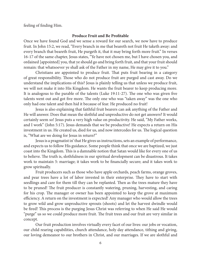feeling of finding Him.

#### **Produce Fruit and Be Profitable**

Once we have found God and we sense a reward for our search, we now have to produce fruit. In John 15:2, we read, "Every branch in me that beareth not fruit He taketh away: and every branch that beareth fruit, He purgeth it, that it may bring forth more fruit." In verses 16-17 of the same chapter, Jesus states, "Ye have not chosen me, but I have chosen you, and ordained [appointed] you, that ye should go and bring forth fruit, and that your fruit should remain: that whatsoever ye shall ask of the Father in my name, He may give it to you."

Christians are appointed to produce fruit. That puts fruit bearing in a category of great responsibility. Those who do not produce fruit are purged and cast away. Do we understand the implications of this? Jesus is plainly telling us that unless we produce fruit, we will not make it into His Kingdom. He wants the fruit bearer to keep producing more. It is analogous to the parable of the talents (Luke 19:11-27). The one who was given five talents went out and got five more. The only one who was "taken away" was the one who only had one talent and then hid it because of fear. He produced no fruit!

Jesus is also explaining that faithful fruit bearers can ask anything of the Father and He will answer. Does that mean the slothful and unproductive do not get answers? It would certainly seem so! Jesus puts a very high value on productivity. He said, "My Father works, and I work" (John 5:17). Jesus demands that we be productive! He expects a return on His investment in us. He created us, died for us, and now intercedes for us. The logical question is, "What are we doing for Jesus in return?"

Jesus is a pragmatist in' that He gives us instructions, sets an example of performance, and expects us to follow His guidance. Some people think that once we are baptized, we just coast into the Kingdom. This is a damnable notion that Satan would like for every one of us to believe. The truth is, slothfulness in our spiritual development can be disastrous. It takes work to maintain 5: marriage; it takes work to be financially secure; and it takes work to grow spiritually.

Fruit producers such as those who have apple orchards, peach farms, orange groves, and pear trees have a lot of labor invested in their enterprise. They have to start with seedlings and care for them till they can be replanted. Then as the trees mature they have to be pruned! The fruit producer is constantly watering, pruning, harvesting, and caring for his crop. The manager or owner has been appointed to keep the grove at maximum efficiency. A return on the investment is expected! Any manager who would allow the trees to grow wild and grow unproductive sprouts (shoots) and let the harvest dwindle would be fired! This process is the purging Jesus Christ was referring to when He said He would "purge" us so we could produce more fruit. The fruit trees and our fruit are very similar in concept.

Our fruit production involves virtually every facet of our lives: our jobs or vocation, our child rearing capabilities, church attendance, holy day attendance, tithing and giving, our loving demeanor to our brothers in Christ, and our marriages. If we are slothful and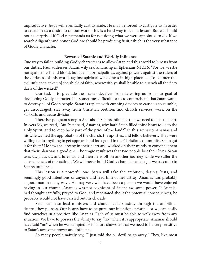unproductive, Jesus will eventually cast us aside. He may be forced to castigate us in order to create in us a desire to do our work. This is a hard way to lean a lesson. But we should not be surprised if God reprimands us for not doing what we were appointed to do. If we search diligently and honor God, we should be producing fruit, which is the very substance of Godly character.

#### **Beware of Satanic and Worldly Influence**

One way to fail in building Godly character is to allow Satan and this world to lure us from our duties. Paul addresses Satan's wily craftsmanship in Ephesians 6:12,16: "For we wrestle not against flesh and blood, but against principalities, against powers, against the rulers of the darkness of this world, against spiritual wickedness in high places….[To counter this evil influence, take up] the shield of faith, wherewith ye shall be able to quench all the fiery darts of the wicked."

Our task is to preclude the master deceiver from deterring us from our goal of developing Godly character. It is sometimes difficult for us to comprehend that Satan wants to destroy all of God's people. Satan is replete with cunning devices to cause us to stumble, get discouraged, stay away from Christian brethren and church services, work on the Sabbath, and cause division.

There is a poignant story in Acts about Satan's influence that we need to take to heart. In Acts 5:3, we read, "But Peter said, Ananias, why hath Satan filled thine heart to lie to the Holy Spirit, and to keep back part of the price of the land?" In this scenario, Ananias and his wife wanted the approbation of the church, the apostles, and fellow believers. They were willing to do anything to get approval and look good in the Christian community, Satan got it for them! He saw the larceny in their heart and worked on their minds to convince them that their plan was a good one. The tragic result was that two people lost their lives. Satan uses us, plays us, and lures us, and then he is off on another journey while we suffer the consequences of our actions. We will never build Godly character as long as we succumb to Satan's influence.

This lesson is a powerful one. Satan will take the ambition, desires, lusts, and seemingly good intentions of anyone and lead him or her astray. Ananias was probably a good man in many ways. He may very well have been a person we would have enjoyed having in our church. Ananias was not cognizant of Satan's awesome power! If Ananias had thought carefully, prayed to God, and meditated about the potential consequences, he probably would not have carried out his charade.

Satan can also lead ministers and church leaders astray through the ambitious desires they possess. Our hearts have to be pure, our intentions pristine, or we can easily find ourselves in a position like Ananias. Each of us must be able to walk away from any situation. We have to possess the ability to say "no" when it is appropriate. Ananias should have said "no" when he was tempted! His failure shows us that we need to be very sensitive to Satan's awesome power and influence.

So many people naively say, "I just told the ol' devil to go away!" They, like most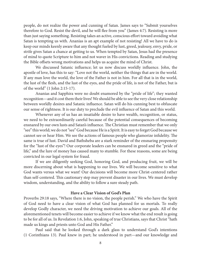people, do not realize the power and cunning of Satan. James says to "Submit yourselves therefore to God. Resist the devil, and he will flee from you" (James 4:7). Resisting is more than just saying something. Resisting takes an active, conscious effort toward avoiding what Satan is tempting us with. Ananias is an apt example of not resisting! All we have to do is keep our minds keenly aware that any thought fueled by lust, greed, jealousy, envy, pride, or strife gives Satan a chance at getting to us. When tempted by Satan, Jesus had the presence of mind to quote Scripture to him and not waver in His convictions. Reading and studying the Bible offsets wrong motivations and helps us acquire the mind of Christ.

We discussed Satanic influence; let us now discuss worldly influence. John, the apostle of love, has this to say: "Love not the world, neither the things that are in the world. If any man love the world, the love of the Father is not in him. For all that is in the world, the lust of the flesh, and the lust of the eyes, and the pride of life, is not of the Father, but is of the world" (1 John 2:15-17).

Ananias and Sapphira were no doubt enamored by the "pride of life"; they wanted recognition—and it cost them their lives! We should be able to see the very close relationship between worldly desires and Satanic influence. Satan will do his cunning best to obfuscate our sense of rightness. It is our duty to preclude the evil influence of Satan and this world.

Whenever any of us has an insatiable desire to have wealth, recognition, or status, we need to be extraordinarily careful because of the potential consequences of becoming ensnared by our own lusts and Satan's influence. The Christian must remember that we only "see" this world; we do not "see" God because He is a Spirit. It is easy to forget God because we cannot see or hear Him. We see the actions of famous people who glamorize infidelity. The same is true of lust. David and Bathsheba are a stark reminder of the ensnaring propensity for the "lust of the eyes"! Our corporate leaders can be ensnared in greed and the "pride of life," and the lure of money has caused many to stumble. For these reasons, some are being convicted in our legal system for fraud.

If we are diligently seeking God, honoring God, and producing fruit, we will be more discerning about what is happening to our lives. We will become sensitive to what God wants versus what we want! Our decisions will become more Christ-centered rather than self-centered. This cautionary step may prevent disaster in our lives. We must develop wisdom, understanding, and the ability to follow a sure steady path.

#### **Have a Clear Vision of God's Plan**

Proverbs 29:18 says, "Where there is no vision, the people perish." We who have the Spirit of God need to have a clear vision of what God has planned for us mortals. To really develop Godly character, we need the driving motivation to achieve our goals. All of the aforementioned tenets will become easier to achieve if we know what the end result is going to be for all of us. In Revelation 1:6, John, speaking of true Christians, says that Christ "hath made us kings and priests unto God and His Father."

Paul said that he looked through a dark glass to understand God's intentions (1 Corinthians 13). Paul knew in part; he understood in part—and our knowledge and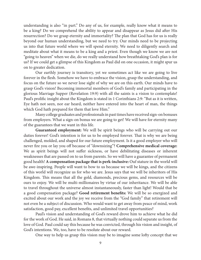understanding is also "in part." Do any of us, for example, really know what it means to be a king? Do we comprehend the ability to appear and disappear as Jesus did after His resurrection? Do we grasp eternity and immortality? The plan that God has for us is really beyond our human understanding, but we need to try. Our minds need to be projecting us into that future world where we will spend eternity. We need to diligently search and meditate about what it means to be a king and a priest. Even though we know we are not "going to heaven" when we die, do we really understand how breathtaking God's plan is for us? If we could get a glimpse of this Kingdom as Paul did on one occasion, it might spur us on to greater dedication.

Our earthly journey is transitory, yet we sometimes act like we are going to live forever in the flesh. Somehow we have to embrace the vision, grasp the understanding, and focus on the future so we never lose sight of why we are on this earth. Our minds have to grasp God's vision! Becoming immortal members of God's family and participating in the glorious Marriage Supper (Revelation 19:9) with all the saints is a vision to contemplate! Paul's prolific insight about the Kingdom is stated in 1 Corinthians 2:9: "But as it is written, Eye hath not seen, nor ear heard, neither have entered into the heart of man, the things which God hath prepared for them that love Him."

Many college graduates and professionals in past times have received sign-on bonuses from employers. What a sign-on bonus we are going to get! We will have for eternity many of the guarantees that we want in this life.

**Guaranteed employment:** We will be spirit beings who will be carrying out our duties forever! God's intention is for us to be employed forever. That is why we are being challenged, molded, and shaped for our future employment. Is it a good employer who will never fire you or lay you off because of "downsizing"? **Comprehensive medical coverage:**  We as spirit beings will not suffer sickness, or have debilitating diseases or inherent weaknesses that are passed on to us from parents. So we will have a guarantee of permanent good health! **A compensation package that is perk-inclusive:** Ouf stature in the world will be awe-inspiring. People will want to bow to us because we will be kings, and the citizens of this world will recognize us for who we are. Jesus says that we will be inheritors of His Kingdom. This means that all the gold, diamonds, precious gems, and resources will be ours to enjoy. We will be multi-millionaires by virtue of our inheritance. We will be able to travel throughout the universe almost instantaneously, faster than light! Would that be a good compensation package? **Good retirement benefits:** We will be so energized and excited about our work and the joy we receive from the "God family" that retirement will not even be a subject of discussion. Who would want to get away from peace of mind, work satisfaction, good pay, excellent benefits, and unlimited travel opportunities?

Paul's vision and understanding of God's reward drove him to achieve what he did for the work of God. He said, in Romans 8, that virtually nothing could separate us from the love of God. Paul could say this because he was convicted, through his vision and insight, of God's intentions. We, too, have to be resolute about our reward.

One way to help us grasp this vision may be to imagine some lofty concept that we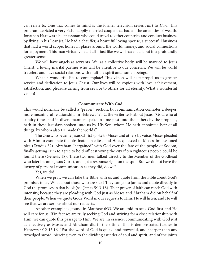can relate to. One that comes to mind is the former television series *Hart* to *Hart.* This program depicted a very rich, happily married couple that had all the amenities of wealth. Jonathan Hart was a businessman who could travel to other countries and conduct business by flying in his Lear jet. He had a chauffer, a beautiful loving spouse, a successful business that had a world scope, hones in places around the world, money, and social connections for enjoyment. This man virtually had it all—just like we will have it all, but in a profoundly greater sense.

We will have angels as servants. We, as a collective body, will be married to Jesus Christ, a loving marital partner who will be attentive to our concerns. We will be world travelers and have social relations with multiple spirit and human beings.

What a wonderful life to contemplate! This vision will help propel us to greater service and dedication to Jesus Christ. Our lives will be copious with love, achievement, satisfaction, and pleasure arising from service to others for all eternity. What a wonderful vision!

#### **Communicate With God**

This would normally be called a "prayer" section, but communication connotes a deeper, more meaningful relationship. In Hebrews 1:1-2, the writer tells about Jesus: "God, who at sundry times and in divers manners spake in time past unto the fathers by the prophets, hath in these last days spoken unto us by His Son, whom He hath appointed heir of all things, by whom also He made the worlds."

The One who became Jesus Christ spoke to Moses and others by voice. Moses pleaded with Him to exonerate the obstinate Israelites, and He acquiesced to Moses' impassioned plea (Exodus 32). Abraham "bargained" with God over the fate of the people of Sodom, finally getting Him to agree to hold off destroying the city if ten righteous people could be found there (Genesis 18). These two men talked directly to the Member of the Godhead who later became Jesus Christ, and got a response right on the spot. But we do not have the luxury of personal communication as they did, do we?

#### Yes, we do!

When we pray, we can take the Bible with us and quote from the Bible about God's promises to us, What about those who are sick? They can go to James and quote directly to God the promises in that book (see James 5:13-18). Their prayer of faith can reach God with intensity, because they are pleading with God just as Moses and Abraham did on behalf of their people. When we quote God's Word in our requests to Him, He will listen, and He will see that we are serious about our requests.

Another example is ,found in Matthew 6:33. We are told to seek God first and He will care for us. If in fact we are truly seeking God and striving for a close relationship with Him, we can quote this passage to Him. We are, in essence, communicating with God just as effectively as Moses and Abraham did in their time. This is demonstrated further in Hebrews 4:12-13,16: "For the word of God is quick, and powerful, and sharper than any twoedged sword, piercing even to the dividing asunder of soul and spirit, and of the joints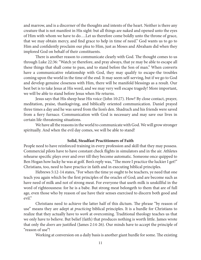and marrow, and is a discerner of the thoughts and intents of the heart. Neither is there any creature that is not manifest in His sight: but all things are naked and opened unto the eyes of Him with whom we have to do….Let us therefore come boldly unto the throne of grace, that we may obtain mercy, and find grace to help in time of need." God wants us to go to Him and confidently proclaim our plea to Him, just as Moses and Abraham did when they implored God on behalf of their constituents.

There is another reason to communicate clearly with God. The thought comes to us through Luke 22:36: "Watch ye therefore, and pray always, that ye may be able to escape all these things that shall come to pass, and to stand before the Son of man." When converts have a communicative relationship with God, they may qualify to escape-the troubles coming upon the world in the time of the end. It may seem self-serving, but if we go to God and develop genuine closeness with Him, there will be manifold blessings as a result. Our best bet is to take Jesus at His word, and we may very well escape tragedy! More important, we will be able to stand before Jesus when He returns.

Jesus says that His sheep hear His voice (John 10:27). How? By close contact, prayer, meditation, praise, thanksgiving, and biblically oriented communication. Daniel prayed three times a day and he was saved from the lion's den. Shadrach and his friends were saved from a fiery furnace. Communication with God is necessary and may save our lives in certain life-threatening situations.

We have all the reasons in the world to communicate with God. We will grow stronger spiritually. And when the evil day comes, we will be able to stand!

# **Solid, Steadfast Practitioners of Faith**

People need to have reinforced training in every profession and skill that they may possess. Commercial pilots have to have constant check flights in simulators and in the air. Athletes rehearse specific plays over and over till they become automatic. Someone once quipped to Ben Hogan how lucky he was at golf. Ben's reply was, "The more I practice the luckier I get!" Christians, too, need to have practice in faith and in executing biblical principles.

Hebrews 5:12-14 states, "For when the time ye ought to be teachers, ye need that one teach you again which be the first principles of the oracles of God; and are become such as have need of milk and not of strong meat. For everyone that useth milk is unskillful in the word of righteousness: for he is a babe. But strong meat belongeth to them that are of full age, even those who by reason of use have their senses exercised to discern both good and evil."

Christians need to achieve the latter half of this dictum. The phrase "by reason of use" means they are adept at *practicing* biblical principles. It is a hurdle for Christians to realize that they actually have to *work* at overcoming. Traditional theology teaches us that we only have to believe. But belief (faith) that produces nothing is worth little. James wrote that only the *doers* are justified (James 2:14-26). Our minds have to accept the principle of "reason of use"!

Working at conversion on a daily basis is another giant hurdle for some. The existing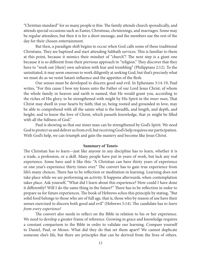"Christian standard" for so many people is this: The family attends church sporadically, and attends special occasions such as Easter, Christmas, christenings, and marriages. Some may be regular attendees, but then it is for a short message, and the members use the rest of the day for their chosen entertainment.

But then, a paradigm shift begins to occur when God calls some of these traditional Christians. They are baptized and start attending Sabbath services. This is familiar to them at this point, because it mimics their mindset of "church"! The next step is a giant one because it is so different from their previous approach to "religion." They discover that they have to "work out [their] own salvation with fear and trembling" (Philippians 2:12). To the uninitiated, it may seem onerous to work diligently at seeking God, but that's precisely what we must do as we resist Satan's influence and the appetites of the flesh.

Our senses must be developed to discern good and evil. In Ephesians 3:14-19, Paul writes, "For this cause I bow my knees unto the Father of our Lord Jesus Christ, of whom the whole family in heaven and earth is named, that He would grant you, according to the riches of His glory, to be strengthened with might by His Spirit in the *inner man*, That Christ may dwell in your hearts by faith; that ye, being rooted and grounded in love, may be able to comprehend with all the saints what is the breadth, and length, and depth, and height; and to know the love of Christ, which passeth knowledge, that ye might be filled with all the fullness of God."

Paul is showing us that our inner man can be strengthened by God's Spirit. We need God to protect us and deliver us from evil, but receiving God's help requires our participation. With God's help, we can triumph and gain the mastery and become like Jesus Christ.

#### **Summary of Tenets**

The Christian has to learn—just like anyone in any discipline has to learn, whether it is a trade, a profession, or a skill. Many people have put in years of work, but lack any real experience. Some have said it like this: "A Christian can have thirty years of experience or one year's experience thirty times over." The convert has to gain true experience from life's many choices. There has to be reflection or meditation in learning. Learning does not take place while we are performing an activity. It happens afterwards, when contemplation takes place. Ask yourself, "What did I learn about this experience? How could I have done it differently? Will I do the same thing in the future?" There has to be reflection in order to prepare us for future experiences. The book of Hebrews echos this principle by stating, "But solid food belongs to those who are of full age, that is, those who by reason of use have their senses exercised to discern both good and evil" (Hebrews 5:14). The candidate has to *learn from every experience!*

The convert also needs to reflect on the Bible in relation to his or her experience. We need to develop a greater frame of reference. Growing in grace and knowledge requires a constant comparison to the Bible in order to validate our learning. Compare yourself to Daniel, Paul, or Moses. What did they do that set them apart? We cannot duplicate someone else's life, but there are principles that can be derived from the lives of others.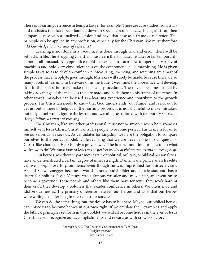There is a learning reference in being a lawyer for example. There are case studies from trials and decisions that have been handed down in special circumstances. The legalist can then compare a case with a finalized decision and have that case as a frame of reference. This principle can be applied in any profession, especially for the Christian. We must therefore *add knowledge to our frame of reference!*

Learning is not done in a vacuum; it is done through trial and error. There will be setbacks in life. The struggling Christian must learn that to make mistakes or fail temporarily is not at all unusual. An apprentice mold maker has to learn how to operate a variety of machines and hold very close tolerances on the components he is machining. He is given simple tasks so as to develop confidence. Measuring, checking, and watching are a part of the process that a neophyte goes through. Mistakes will surely be made, because there are so many facets of learning to be aware of in the trade. Over time, the apprentice will develop skill in the basics, but may make mistakes in procedures. The novice becomes skilled by taking advantage of the mistakes that are made and adds them to his frame of reference. In other words, mistakes can be used as a learning experience and contribute to the growth process. The Christian needs to know that God understands "our frame" and is not out to get us, but is there to help us in the learning process. It is not shameful to make mistakes, but only a fool would ignore the lessons and warnings associated with temporary setbacks. *Accept failure as apart of growing!*

The Christian, like any other professional, must not be myopic when he juxtaposes himself with Jesus Christ. Christ wants His people to become perfect. His desire is for us to see ourselves as He sees us. As candidates for kingship, we have the obligation to compare ourselves to the perfect model, while realizing that we are never alone in our quest for Christ-like character. Help is only a prayer away! The final admonition for us is to do what we know to do! We must *look to Jesus as the perfect model of righteousness and source of help!*

Our heroes, whether they are movie stars or political, military, or biblical personalities, have all demonstrated a certain degree of inner strength. Daniel was a prince as an Israelite captive. Joseph rose to prominence even though he was imprisoned for thirteen years. Arnold Schwarznegger became a world-famous bodybuilder and movie star, and has a desire for politics. Jessie Ventura was a famous wrestler and movie star, and went on to become a governor. These people and others like them have tenacity; they work hard at their craft; they develop a boldness that exudes confidence in others. We often envy and idolize our heroes. The primary difference between our heroes and us is that our heroes were willing to suffer long in their quest for success.

We can do the same thing, but the desire has to be there. Maybe our biblical heroes can entice us to become heroes in our own right. If we emulate their examples and apply the biblical principles set forth in this booklet, we will all become heroes in the eyes of Jesus Christ. He will recognize our accomplishments and reward us with crowns of glory!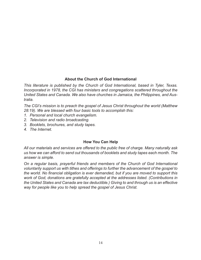# **About the Church of God International**

*This literature is published by the Church of God International, based in Tyler, Texas. Incorporated in 1978, the CGI has ministers and congregations scattered throughout the United States and Canada. We also have churches in Jamaica, the Philippines, and Australia.* 

*The CGI's mission is to preach the gospel of Jesus Christ throughout the world (Matthew 28:19). We are blessed with four basic tools to accomplish this:* 

- *1. Personal and local church evangelism.*
- *2. Television and radio broadcasting.*
- *3. Booklets, brochures, and study tapes.*
- *4. The Internet.*

# **How You Can Help**

*All our materials and services are offered to the public free of charge. Many naturally ask us how we can afford to send out thousands of booklets and study tapes each month. The answer is simple.* 

*On a regular basis, prayerful friends and members of the Church of God International voluntarily support us with tithes and offerings to further the advancement of the gospel to the world. No financial obligation is ever demanded, but if you are moved to support this work of God, donations are gratefully accepted at the addresses listed. (Contributions in the United States and Canada are tax deductible.) Giving to and through us is an effective way for people like you to help spread the gospel of Jesus Christ.*